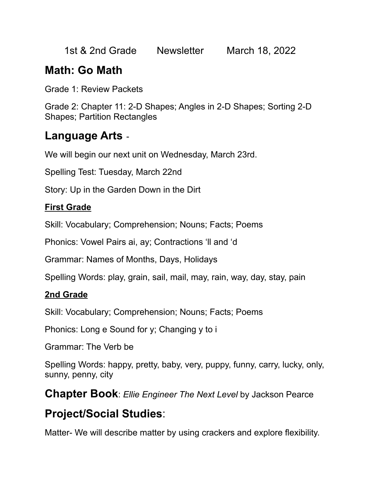1st & 2nd Grade Newsletter March 18, 2022

## **Math: Go Math**

Grade 1: Review Packets

Grade 2: Chapter 11: 2-D Shapes; Angles in 2-D Shapes; Sorting 2-D Shapes; Partition Rectangles

#### **Language Arts** -

We will begin our next unit on Wednesday, March 23rd.

Spelling Test: Tuesday, March 22nd

Story: Up in the Garden Down in the Dirt

#### **First Grade**

Skill: Vocabulary; Comprehension; Nouns; Facts; Poems

Phonics: Vowel Pairs ai, ay; Contractions 'll and 'd

Grammar: Names of Months, Days, Holidays

Spelling Words: play, grain, sail, mail, may, rain, way, day, stay, pain

#### **2nd Grade**

Skill: Vocabulary; Comprehension; Nouns; Facts; Poems

Phonics: Long e Sound for y; Changing y to i

Grammar: The Verb be

Spelling Words: happy, pretty, baby, very, puppy, funny, carry, lucky, only, sunny, penny, city

**Chapter Book**: *Ellie Engineer The Next Level* by Jackson Pearce

## **Project/Social Studies**:

Matter- We will describe matter by using crackers and explore flexibility.